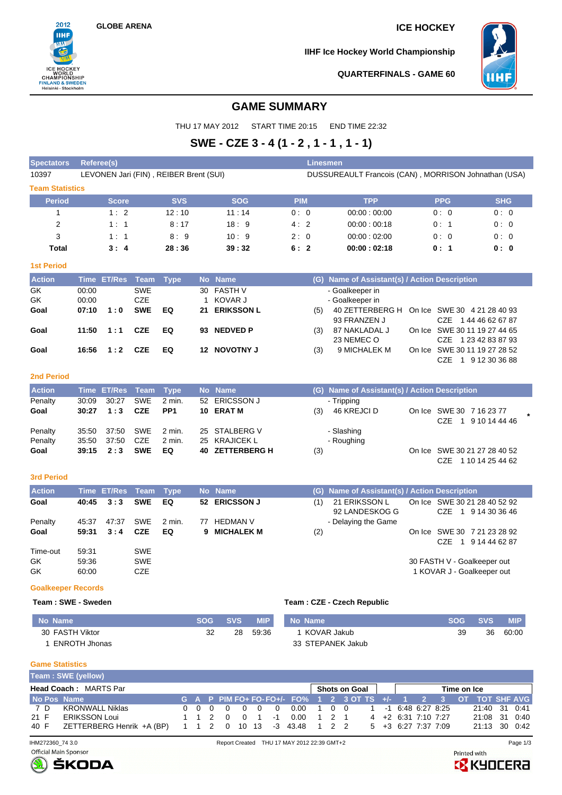**GLOBE ARENA ICE HOCKEY**

2012 **IIHF** 

ICE HOCKEY<br>
WORLD<br>
CHAMPIONSHIP<br>
FINLAND & SWEDEN<br>
Helsinki - Stockholm

**IIHF Ice Hockey World Championship**



## **QUARTERFINALS - GAME 60**

# **GAME SUMMARY**

THU 17 MAY 2012 START TIME 20:15 END TIME 22:32

# **SWE - CZE 3 - 4 (1 - 2 , 1 - 1 , 1 - 1)**

| <b>Spectators</b>      | <b>Referee(s)</b> |               |            |                                        |     |                   |            | Linesmen |                                                      |        |            |                       |
|------------------------|-------------------|---------------|------------|----------------------------------------|-----|-------------------|------------|----------|------------------------------------------------------|--------|------------|-----------------------|
| 10397                  |                   |               |            | LEVONEN Jari (FIN), REIBER Brent (SUI) |     |                   |            |          | DUSSUREAULT Francois (CAN), MORRISON Johnathan (USA) |        |            |                       |
| <b>Team Statistics</b> |                   |               |            |                                        |     |                   |            |          |                                                      |        |            |                       |
| <b>Period</b>          |                   | <b>Score</b>  |            | <b>SVS</b>                             |     | <b>SOG</b>        | <b>PIM</b> |          | <b>TPP</b>                                           |        | <b>PPG</b> | <b>SHG</b>            |
|                        |                   | 1:2           |            | 12:10                                  |     | 11:14             | 0:0        |          | 00:00:00:00                                          |        | 0:0        | 0:0                   |
| 2                      |                   | 1:1           |            | 8:17                                   |     | 18:9              | 4:2        |          | 00:00:00:18                                          |        | 0:1        | 0:0                   |
| 3                      |                   | 1:1           |            | 8:9                                    |     | 10:9              | 2:0        |          | 00:00:02:00                                          |        | 0:0        | 0:0                   |
| Total                  |                   | 3:4           |            | 28:36                                  |     | 39:32             | 6:2        |          | 00:00:02:18                                          |        | 0:1        | 0:0                   |
| <b>1st Period</b>      |                   |               |            |                                        |     |                   |            |          |                                                      |        |            |                       |
| <b>Action</b>          | <b>Time</b>       | <b>ET/Res</b> | Team       | <b>Type</b>                            |     | No Name           |            | (G)      | Name of Assistant(s) / Action Description            |        |            |                       |
| <b>GK</b>              | 00:00             |               | <b>SWE</b> |                                        | 30  | <b>FASTH V</b>    |            |          | - Goalkeeper in                                      |        |            |                       |
| GK                     | 00:00             |               | <b>CZE</b> |                                        |     | KOVAR J           |            |          | - Goalkeeper in                                      |        |            |                       |
| Goal                   | 07:10             | 1:0           | <b>SWE</b> | EQ                                     | 21  | <b>ERIKSSON L</b> |            | (5)      | 40 ZETTERBERG H                                      | On Ice |            | SWE 30 4 21 28 40 93  |
|                        |                   |               |            |                                        |     |                   |            |          | 93 FRANZEN J                                         |        | CZE.       | 1 44 46 62 67 87      |
| Goal                   | 11:50             | 1:1           | <b>CZE</b> | EQ                                     | 93  | <b>NEDVED P</b>   |            | (3)      | 87 NAKLADAL J                                        | On Ice |            | SWE 30 11 19 27 44 65 |
|                        |                   |               |            |                                        |     |                   |            |          | 23 NEMEC O                                           |        | CZE.       | 1 23 42 83 87 93      |
| Goal                   | 16:56             | 1:2           | <b>CZE</b> | EQ                                     | 12. | <b>NOVOTNY J</b>  |            | (3)      | 9 MICHALEK M                                         | On Ice |            | SWE 30 11 19 27 28 52 |
|                        |                   |               |            |                                        |     |                   |            |          |                                                      |        | CZE        | 9 12 30 36 88         |

## **2nd Period**

| <b>Action</b> |       | Time ET/Res Team Type |            |                 | No Name         |     | (G) Name of Assistant(s) / Action Description |                                                     |  |
|---------------|-------|-----------------------|------------|-----------------|-----------------|-----|-----------------------------------------------|-----------------------------------------------------|--|
| Penalty       | 30.09 | 30:27                 | SWE        | 2 min.          | 52 ERICSSON J   |     | - Tripping                                    |                                                     |  |
| Goal          |       | $30:27$ 1:3           | CZE        | PP <sub>1</sub> | 10 ERAT M       | (3) | 46 KREJCI D                                   | On Ice SWE 30 7 16 23 77<br>1 9 10 14 44 46<br>CZE. |  |
| Penalty       | 35:50 | 37:50                 | SWE        | 2 min.          | 25 STALBERG V   |     | - Slashing                                    |                                                     |  |
| Penalty       | 35:50 | 37:50                 | CZE        | 2 min.          | 25 KRAJICEK L   |     | - Roughing                                    |                                                     |  |
| Goal          |       | $39:15$ $2:3$         | <b>SWE</b> | EQ              | 40 ZETTERBERG H | (3) |                                               | On Ice SWE 30 21 27 28 40 52                        |  |
|               |       |                       |            |                 |                 |     |                                               | 1 10 14 25 44 62<br>CZE                             |  |

### **3rd Period**

| <b>Action</b>        |                         | Time ET/Res Team Type |                          |        |    | No Name           |     | (G) Name of Assistant(s) / Action Description |                                                           |
|----------------------|-------------------------|-----------------------|--------------------------|--------|----|-------------------|-----|-----------------------------------------------|-----------------------------------------------------------|
| Goal                 | 40:45                   | 3:3                   | <b>SWE</b>               | EQ     |    | 52 ERICSSON J     | (1) | 21 ERIKSSON L<br>92 LANDESKOG G               | On Ice SWE 30 21 28 40 52 92<br>CZE 1 9 14 30 36 46       |
| Penalty              | 45.37                   | 47:37                 | <b>SWE</b>               | 2 min. | 77 | HEDMAN V          |     | - Delaying the Game                           |                                                           |
| Goal                 | 59:31                   | 3:4                   | <b>CZE</b>               | EQ     | 9. | <b>MICHALEK M</b> | (2) |                                               | On Ice SWE 30 7 21 23 28 92<br>1 9 14 44 62 87<br>CZE.    |
| Time-out<br>GK<br>GK | 59:31<br>59:36<br>60:00 |                       | SWE<br><b>SWE</b><br>CZE |        |    |                   |     |                                               | 30 FASTH V - Goalkeeper out<br>1 KOVAR J - Goalkeeper out |

### **Goalkeeper Records**

# **Team : SWE - Sweden Team : CZE - Czech Republic**

| l No Name       | <b>SOG</b> | <b>SVS</b> | <b>MIP</b> | No Name           | SOG - | <b>SVS</b> | <b>MIP</b> |
|-----------------|------------|------------|------------|-------------------|-------|------------|------------|
| 30 FASTH Viktor | 32         | 28         | 59:36      | 1 KOVAR Jakub     | 39    | 36         | 60:00      |
| ENROTH Jhonas   |            |            |            | 33 STEPANEK Jakub |       |            |            |

### **Game Statistics**

|      |                              | Team: SWE (yellow)                                     |  |  |  |                                        |  |  |                |                                                                                   |               |  |  |  |  |             |  |                        |  |               |  |
|------|------------------------------|--------------------------------------------------------|--|--|--|----------------------------------------|--|--|----------------|-----------------------------------------------------------------------------------|---------------|--|--|--|--|-------------|--|------------------------|--|---------------|--|
|      | <b>Head Coach: MARTS Par</b> |                                                        |  |  |  |                                        |  |  |                |                                                                                   | Shots on Goal |  |  |  |  | Time on Ice |  |                        |  |               |  |
|      |                              | No Pos Name                                            |  |  |  |                                        |  |  |                | G A P PIM FO+ FO- FO+/- FO% 1 2 3 OT TS +/- 1 2 3 OT TOT SHF AVG                  |               |  |  |  |  |             |  |                        |  |               |  |
| 7 D  |                              | KRONWALL Niklas                                        |  |  |  | $0\quad 0\quad 0\quad 0\quad 0\quad 0$ |  |  |                | 0 0.00 1 0 0 1 -1 6:48 6:27 8:25                                                  |               |  |  |  |  |             |  |                        |  | 21:40 31 0:41 |  |
| 21 F |                              | ERIKSSON Loui                                          |  |  |  |                                        |  |  | 1 1 2 0 0 1 -1 | $0.00 \quad 1 \quad 2 \quad 1 \qquad 4 \quad 42 \quad 6.31 \quad 7.10 \quad 7.27$ |               |  |  |  |  |             |  |                        |  | 21:08 31 0:40 |  |
| 40 F |                              | ZETTERBERG Henrik +A (BP) 1 1 2 0 10 13 -3 43.48 1 2 2 |  |  |  |                                        |  |  |                |                                                                                   |               |  |  |  |  |             |  | $5 +3 +6:27$ 7:37 7:09 |  | 21:13 30 0:42 |  |



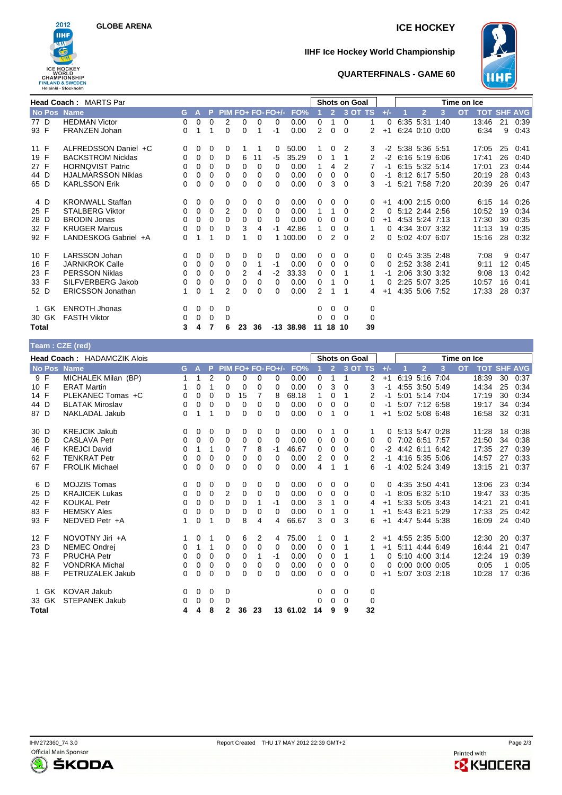

# **GLOBE ARENA ICE HOCKEY**

# **IIHF Ice Hockey World Championship**



## **QUARTERFINALS - GAME 60**

|              | <b>Head Coach: MARTS Par</b> |          |              |          |          |    |          |                   |             |    |                | <b>Shots on Goal</b> |                |          |                     |                |                | Time on Ice |                    |    |      |
|--------------|------------------------------|----------|--------------|----------|----------|----|----------|-------------------|-------------|----|----------------|----------------------|----------------|----------|---------------------|----------------|----------------|-------------|--------------------|----|------|
| No Pos Name  |                              | G.       | 47           | P.       |          |    |          | PIM FO+ FO- FO+/- | FO%         |    | $\overline{2}$ |                      | 3 OT TS        | $+/-$    |                     | $\overline{2}$ | 3              | <b>OT</b>   | <b>TOT SHF AVG</b> |    |      |
| 77 D         | <b>HEDMAN Victor</b>         | $\Omega$ | $\mathbf 0$  | 0        | 2        | 0  | $\Omega$ | 0                 | 0.00        | 0  |                | 0                    | 1              | 0        |                     |                | 6:35 5:31 1:40 |             | 13:46              | 21 | 0:39 |
| 93 F         | FRANZEN Johan                | 0        |              |          | 0        | 0  |          | $-1$              | 0.00        | 2  | $\Omega$       | $\Omega$             | $\overline{2}$ | $+1$     |                     |                | 6:24 0:10 0:00 |             | 6:34               | 9  | 0.43 |
| 11 F         | ALFREDSSON Daniel +C         | 0        | $\mathbf 0$  | 0        | 0        |    |          | 0                 | 50.00       |    | 0              | 2                    | 3              |          | -2 5:38 5:36 5:51   |                |                |             | 17:05              | 25 | 0:41 |
| 19 F         | <b>BACKSTROM Nicklas</b>     | 0        | 0            | 0        | $\Omega$ | 6  | 11       | -5                | 35.29       | 0  |                |                      | 2              |          | $-2$ 6:16 5:19 6:06 |                |                |             | 17:41              | 26 | 0:40 |
| 27 F         | <b>HORNQVIST Patric</b>      | $\Omega$ | 0            | 0        | $\Omega$ | 0  | $\Omega$ | $\Omega$          | 0.00        |    | 4              | 2                    |                |          | $-1$ 6:15 5:32 5:14 |                |                |             | 17:01              | 23 | 0:44 |
| 44 D         | <b>HJALMARSSON Niklas</b>    | 0        | 0            | $\Omega$ | 0        | 0  | 0        | 0                 | 0.00        | 0  | 0              | 0                    | 0              | $-1$     | 8:12 6:17 5:50      |                |                |             | 20:19              | 28 | 0:43 |
| 65 D         | <b>KARLSSON Erik</b>         | 0        | 0            | 0        | 0        | 0  | 0        | 0                 | 0.00        | 0  | 3              | $\Omega$             | 3              | $-1$     |                     |                | 5:21 7:58 7:20 |             | 20:39              | 26 | 0:47 |
| 4 D          | <b>KRONWALL Staffan</b>      | 0        | $\mathbf 0$  | 0        | 0        | 0  | 0        | 0                 | 0.00        | 0  | 0              | 0                    | 0              | $+1$     | 4:00 2:15 0:00      |                |                |             | 6:15               | 14 | 0:26 |
| 25 F         | <b>STALBERG Viktor</b>       | 0        | $\mathbf 0$  | $\Omega$ | 2        | 0  | $\Omega$ | 0                 | 0.00        |    |                | 0                    | 2              | $\Omega$ | 5:12 2:44 2:56      |                |                |             | 10:52              | 19 | 0:34 |
| 28 D         | <b>BRODIN Jonas</b>          | 0        | 0            | $\Omega$ | 0        | 0  | 0        | $\Omega$          | 0.00        | 0  | 0              | $\Omega$             | 0              | $+1$     |                     |                | 4:53 5:24 7:13 |             | 17:30              | 30 | 0:35 |
| 32 F         | <b>KRUGER Marcus</b>         | $\Omega$ | $\Omega$     | 0        | 0        | 3  | 4        | $-1$              | 42.86       | 1  | 0              | 0                    | 1              | 0        |                     |                | 4:34 3:07 3:32 |             | 11:13              | 19 | 0:35 |
| 92 F         | LANDESKOG Gabriel +A         | 0        | 1            | 1        | 0        | 1  | 0        |                   | 1 100.00    | 0  | 2              | $\Omega$             | 2              |          | 0 5:02 4:07 6:07    |                |                |             | 15:16              | 28 | 0:32 |
| 10 F         | <b>LARSSON Johan</b>         | 0        | $\mathbf 0$  | 0        | 0        | 0  | 0        | 0                 | 0.00        | 0  | 0              | 0                    | 0              |          | $0$ 0:45 3:35 2:48  |                |                |             | 7:08               | 9  | 0:47 |
| 16 F         | <b>JARNKROK Calle</b>        | 0        | $\mathbf 0$  | 0        | 0        | 0  |          | $-1$              | 0.00        | 0  | 0              | $\Omega$             | 0              | 0        |                     | 2:52 3:38 2:41 |                |             | 9:11               | 12 | 0:45 |
| 23 F         | <b>PERSSON Niklas</b>        | $\Omega$ | 0            | 0        | 0        | 2  | 4        | $-2$              | 33.33       | 0  | $\Omega$       |                      |                | -1       |                     |                | 2:06 3:30 3:32 |             | 9:08               | 13 | 0:42 |
| 33 F         | SILFVERBERG Jakob            | 0        | 0            | 0        | 0        | 0  | 0        | 0                 | 0.00        | 0  |                | 0                    | 1              | 0        |                     |                | 2:25 5:07 3:25 |             | 10:57              | 16 | 0:41 |
| 52 D         | <b>ERICSSON Jonathan</b>     |          | 0            |          | 2        | 0  | 0        | 0                 | 0.00        | 2  |                |                      | 4              | $+1$     |                     |                | 4:35 5:06 7:52 |             | 17:33              | 28 | 0:37 |
| 1 GK         | <b>ENROTH Jhonas</b>         | 0        | $\mathbf{0}$ | 0        | 0        |    |          |                   |             | 0  | $\mathbf 0$    | 0                    | 0              |          |                     |                |                |             |                    |    |      |
| 30 GK        | <b>FASTH Viktor</b>          | 0        | $\mathbf 0$  | 0        | $\Omega$ |    |          |                   |             | 0  | $\Omega$       | $\Omega$             | 0              |          |                     |                |                |             |                    |    |      |
| <b>Total</b> |                              | 3        | 4            | 7        | 6        | 23 | 36       |                   | $-13$ 38.98 | 11 | 18             | 10                   | 39             |          |                     |                |                |             |                    |    |      |

| Team: CZE (red) |                                    |             |             |             |          |    |    |                   |          |          |                |                      |         |       |                     |                      |   |             |            |    |                |
|-----------------|------------------------------------|-------------|-------------|-------------|----------|----|----|-------------------|----------|----------|----------------|----------------------|---------|-------|---------------------|----------------------|---|-------------|------------|----|----------------|
|                 | <b>Head Coach: HADAMCZIK Alois</b> |             |             |             |          |    |    |                   |          |          |                | <b>Shots on Goal</b> |         |       |                     |                      |   | Time on Ice |            |    |                |
| No Pos Name     |                                    | G.          | A           | P.          |          |    |    | PIM FO+ FO- FO+/- | FO%      |          | 2 <sup>2</sup> |                      | 3 OT TS | $+/-$ |                     | $\overline{2}$       | 3 | <b>OT</b>   | <b>TOT</b> |    | <b>SHF AVG</b> |
| 9 F             | MICHALEK Milan (BP)                | 1           | 1           | 2           | 0        | 0  | 0  | 0                 | 0.00     | 0        | 1              | 1                    | 2       | $+1$  |                     | 6:19 5:16 7:04       |   |             | 18:39      | 30 | 0:37           |
| 10 F            | <b>ERAT Martin</b>                 |             | 0           | 1           | 0        | 0  | 0  | 0                 | 0.00     | 0        | 3              | $\Omega$             | 3       | $-1$  |                     | 4:55 3:50 5:49       |   |             | 14:34      | 25 | 0:34           |
| 14 F            | PLEKANEC Tomas +C                  | 0           | $\Omega$    | 0           | 0        | 15 | 7  | 8                 | 68.18    | 1        | 0              | 1                    | 2       | -1    |                     | 5:01 5:14 7:04       |   |             | 17:19      | 30 | 0:34           |
| 44 D            | <b>BLATAK Miroslav</b>             | 0           | 0           | 0           | 0        | 0  | 0  | $\Omega$          | 0.00     | 0        | 0              | 0                    | 0       | $-1$  |                     | 5:07 7:12 6:58       |   |             | 19:17      | 34 | 0:34           |
| 87 D            | <b>NAKLADAL Jakub</b>              | 0           | 1           | 1           | 0        | 0  | 0  | 0                 | 0.00     | 0        | 1              | $\Omega$             |         | $+1$  |                     | 5:02 5:08 6:48       |   |             | 16:58      | 32 | 0:31           |
| 30 D            | <b>KREJCIK Jakub</b>               | $\mathbf 0$ | 0           | 0           | 0        | 0  | 0  | 0                 | 0.00     | 0        | -1             | 0                    | 1       | 0     | 5:13 5:47 0:28      |                      |   |             | 11:28      | 18 | 0:38           |
| 36 D            | <b>CASLAVA Petr</b>                | 0           | $\Omega$    | $\Omega$    | 0        | 0  | 0  | $\Omega$          | 0.00     | $\Omega$ | $\Omega$       | $\Omega$             | 0       | 0     |                     | 7:02 6:51 7:57       |   |             | 21:50      | 34 | 0:38           |
| 46 F            | <b>KREJCI David</b>                | 0           | 1           | 1           | 0        | 7  | 8  | $-1$              | 46.67    | $\Omega$ | $\Omega$       | 0                    | 0       |       | $-2$ 4:42 6:11 6:42 |                      |   |             | 17:35      | 27 | 0:39           |
| 62 F            | <b>TENKRAT Petr</b>                | 0           | 0           | 0           | 0        | 0  | 0  | 0                 | 0.00     | 2        | 0              | $\Omega$             | 2       | -1    |                     | 4:16 5:35 5:06       |   |             | 14:57      | 27 | 0:33           |
| 67 F            | <b>FROLIK Michael</b>              | 0           | $\Omega$    | $\Omega$    | $\Omega$ | 0  | 0  | 0                 | 0.00     | 4        | 1              |                      | 6       | $-1$  | 4:02 5:24 3:49      |                      |   |             | 13:15      | 21 | 0:37           |
| 6 D             | <b>MOJZIS Tomas</b>                | 0           | 0           | 0           | 0        | 0  | 0  | 0                 | 0.00     | 0        | 0              | 0                    | 0       | 0     | 4:35 3:50 4:41      |                      |   |             | 13:06      | 23 | 0:34           |
| 25 D            | <b>KRAJICEK Lukas</b>              | 0           | 0           | 0           | 2        | 0  | 0  | 0                 | 0.00     | 0        | 0              | 0                    | 0       | $-1$  |                     | 8:05 6:32 5:10       |   |             | 19:47      | 33 | 0:35           |
| 42 F            | <b>KOUKAL Petr</b>                 | $\Omega$    | $\Omega$    | $\Omega$    | $\Omega$ | 0  |    | $-1$              | 0.00     | 3        | 1              | $\Omega$             | 4       | $+1$  |                     | 5:33 5:05 3:43       |   |             | 14:21      | 21 | 0:41           |
| 83 F            | <b>HEMSKY Ales</b>                 | 0           | 0           | $\mathbf 0$ | 0        | 0  | 0  | $\Omega$          | 0.00     | 0        | 1              | 0                    |         | $+1$  |                     | 5:43 6:21 5:29       |   |             | 17:33      | 25 | 0:42           |
| 93 F            | NEDVED Petr +A                     | 1           | 0           | 1           | 0        | 8  | 4  | 4                 | 66.67    | 3        | 0              | 3                    | 6       | $+1$  |                     | 4:47 5:44 5:38       |   |             | 16:09      | 24 | 0:40           |
| 12 F            | NOVOTNY Jiri +A                    | 1           | 0           | 1           | 0        | 6  | 2  | 4                 | 75.00    | 1.       | 0              | 1                    | 2       | $+1$  | 4:55 2:35 5:00      |                      |   |             | 12:30      | 20 | 0:37           |
| 23 D            | <b>NEMEC Ondrej</b>                | 0           | 1           | 1           | 0        | 0  | 0  | 0                 | 0.00     | 0        | 0              | 1                    |         | $+1$  |                     | 5:11 4:44 6:49       |   |             | 16:44      | 21 | 0:47           |
| 73 F            | <b>PRUCHA Petr</b>                 | $\Omega$    | 0           | 0           | 0        | 0  |    | $-1$              | 0.00     | 0        | 0              | 1                    | 1       | 0     |                     | 5:10 4:00 3:14       |   |             | 12:24      | 19 | 0:39           |
| 82 F            | <b>VONDRKA Michal</b>              | 0           | $\mathbf 0$ | 0           | 0        | 0  | 0  | $\Omega$          | 0.00     | 0        | 0              | $\Omega$             | 0       | 0     |                     | $0:00$ $0:00$ $0:05$ |   |             | 0:05       |    | 0:05           |
| 88 F            | PETRUZALEK Jakub                   | 0           | 0           | 0           | 0        | 0  | 0  | 0                 | 0.00     | 0        | 0              | $\Omega$             | 0       | $+1$  |                     | 5:07 3:03 2:18       |   |             | 10:28      | 17 | 0:36           |
| 1 GK            | <b>KOVAR Jakub</b>                 | 0           | 0           | 0           | 0        |    |    |                   |          | 0        | $\mathbf 0$    | 0                    | 0       |       |                     |                      |   |             |            |    |                |
| 33 GK           | <b>STEPANEK Jakub</b>              | 0           | 0           | 0           | 0        |    |    |                   |          | 0        | $\Omega$       | $\Omega$             | 0       |       |                     |                      |   |             |            |    |                |
| Total           |                                    | 4           | 4           | 8           | 2        | 36 | 23 |                   | 13 61.02 | 14       | 9              | 9                    | 32      |       |                     |                      |   |             |            |    |                |